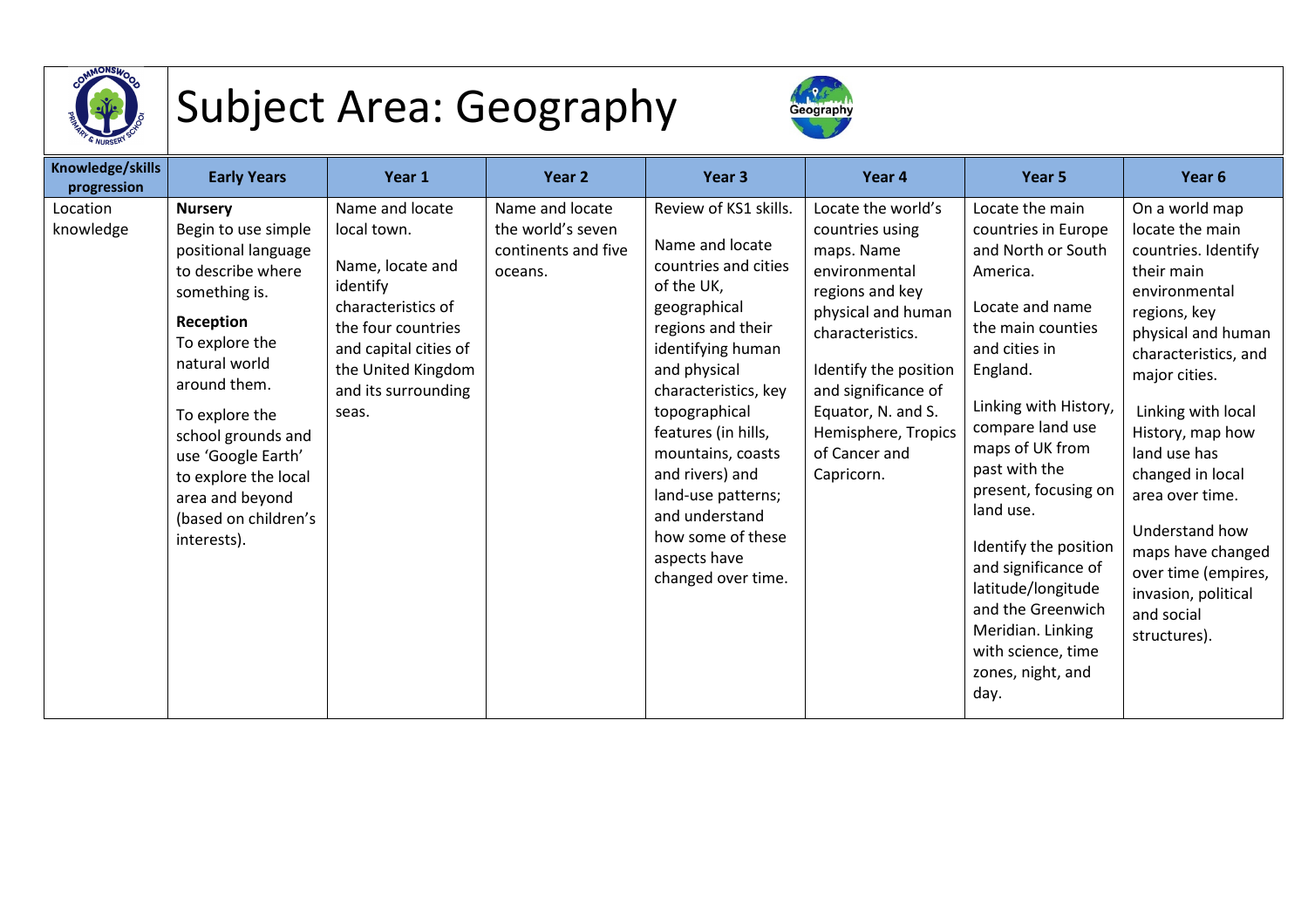

## Subject Area: Geography



| Knowledge/skills<br>progression | <b>Early Years</b>                                                                                                                                                                                                                                                                                                 | Year 1                                                                                                                                                                                    | Year 2                                                                 | Year <sub>3</sub>                                                                                                                                                                                                                                                                                                                                                   | Year 4                                                                                                                                                                                                                                                        | Year 5                                                                                                                                                                                                                                                                                                                                                                                                                                 | Year 6                                                                                                                                                                                                                                                                                                                                                                                     |
|---------------------------------|--------------------------------------------------------------------------------------------------------------------------------------------------------------------------------------------------------------------------------------------------------------------------------------------------------------------|-------------------------------------------------------------------------------------------------------------------------------------------------------------------------------------------|------------------------------------------------------------------------|---------------------------------------------------------------------------------------------------------------------------------------------------------------------------------------------------------------------------------------------------------------------------------------------------------------------------------------------------------------------|---------------------------------------------------------------------------------------------------------------------------------------------------------------------------------------------------------------------------------------------------------------|----------------------------------------------------------------------------------------------------------------------------------------------------------------------------------------------------------------------------------------------------------------------------------------------------------------------------------------------------------------------------------------------------------------------------------------|--------------------------------------------------------------------------------------------------------------------------------------------------------------------------------------------------------------------------------------------------------------------------------------------------------------------------------------------------------------------------------------------|
| Location<br>knowledge           | <b>Nursery</b><br>Begin to use simple<br>positional language<br>to describe where<br>something is.<br>Reception<br>To explore the<br>natural world<br>around them.<br>To explore the<br>school grounds and<br>use 'Google Earth'<br>to explore the local<br>area and beyond<br>(based on children's<br>interests). | Name and locate<br>local town.<br>Name, locate and<br>identify<br>characteristics of<br>the four countries<br>and capital cities of<br>the United Kingdom<br>and its surrounding<br>seas. | Name and locate<br>the world's seven<br>continents and five<br>oceans. | Review of KS1 skills.<br>Name and locate<br>countries and cities<br>of the UK,<br>geographical<br>regions and their<br>identifying human<br>and physical<br>characteristics, key<br>topographical<br>features (in hills,<br>mountains, coasts<br>and rivers) and<br>land-use patterns;<br>and understand<br>how some of these<br>aspects have<br>changed over time. | Locate the world's<br>countries using<br>maps. Name<br>environmental<br>regions and key<br>physical and human<br>characteristics.<br>Identify the position<br>and significance of<br>Equator, N. and S.<br>Hemisphere, Tropics<br>of Cancer and<br>Capricorn. | Locate the main<br>countries in Europe<br>and North or South<br>America.<br>Locate and name<br>the main counties<br>and cities in<br>England.<br>Linking with History,<br>compare land use<br>maps of UK from<br>past with the<br>present, focusing on<br>land use.<br>Identify the position<br>and significance of<br>latitude/longitude<br>and the Greenwich<br>Meridian. Linking<br>with science, time<br>zones, night, and<br>day. | On a world map<br>locate the main<br>countries. Identify<br>their main<br>environmental<br>regions, key<br>physical and human<br>characteristics, and<br>major cities.<br>Linking with local<br>History, map how<br>land use has<br>changed in local<br>area over time.<br>Understand how<br>maps have changed<br>over time (empires,<br>invasion, political<br>and social<br>structures). |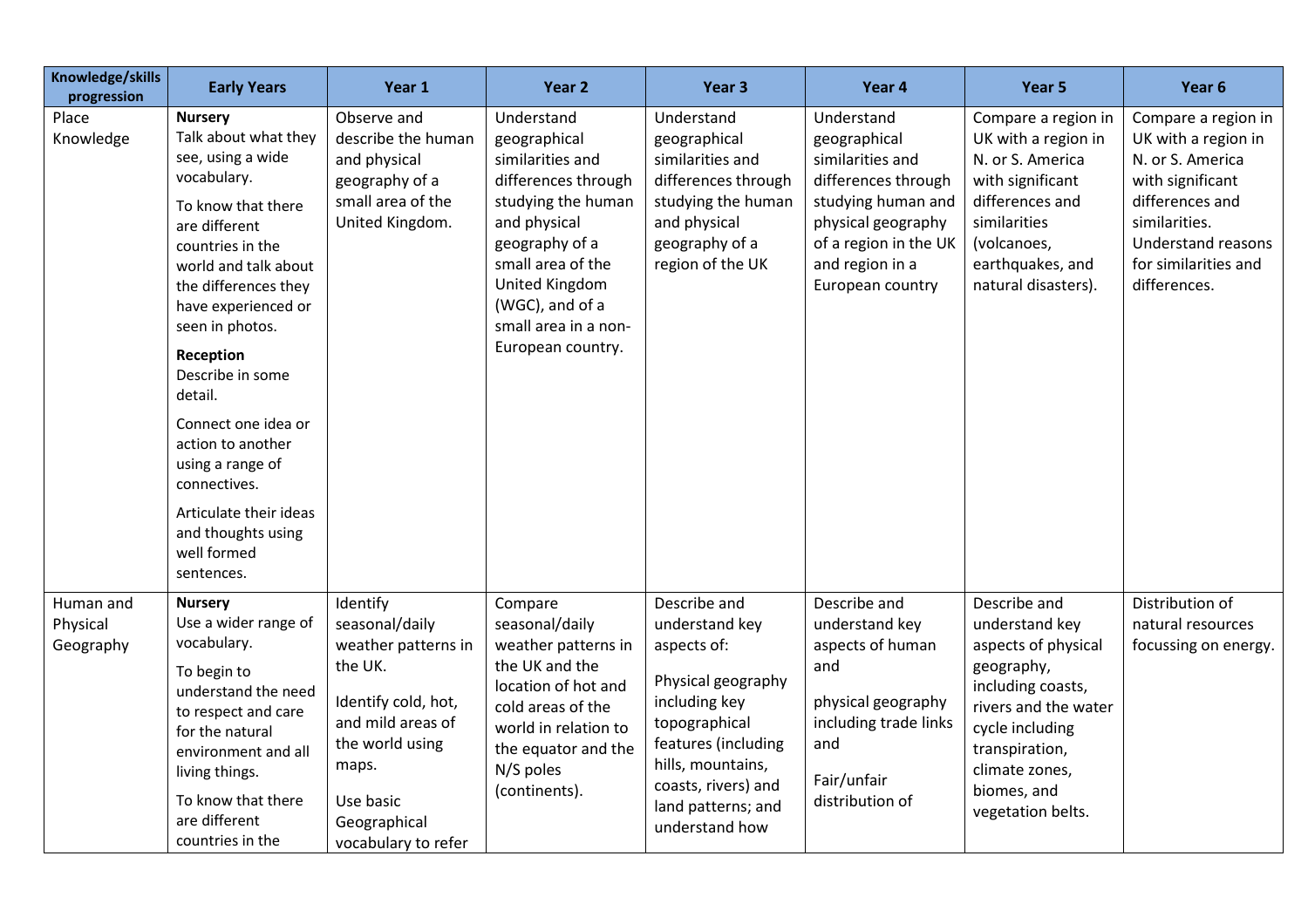| Knowledge/skills<br>progression    | <b>Early Years</b>                                                                                                                                                                                                                                                                                                                                                                                                                       | Year 1                                                                                                                                                                                   | Year 2                                                                                                                                                                                                                               | Year <sub>3</sub>                                                                                                                                                                                                | Year 4                                                                                                                                                                            | Year 5                                                                                                                                                                                                      | Year <sub>6</sub>                                                                                                                                                                    |
|------------------------------------|------------------------------------------------------------------------------------------------------------------------------------------------------------------------------------------------------------------------------------------------------------------------------------------------------------------------------------------------------------------------------------------------------------------------------------------|------------------------------------------------------------------------------------------------------------------------------------------------------------------------------------------|--------------------------------------------------------------------------------------------------------------------------------------------------------------------------------------------------------------------------------------|------------------------------------------------------------------------------------------------------------------------------------------------------------------------------------------------------------------|-----------------------------------------------------------------------------------------------------------------------------------------------------------------------------------|-------------------------------------------------------------------------------------------------------------------------------------------------------------------------------------------------------------|--------------------------------------------------------------------------------------------------------------------------------------------------------------------------------------|
| Place<br>Knowledge                 | <b>Nursery</b><br>Talk about what they<br>see, using a wide<br>vocabulary.<br>To know that there<br>are different<br>countries in the<br>world and talk about<br>the differences they<br>have experienced or<br>seen in photos.<br>Reception<br>Describe in some<br>detail.<br>Connect one idea or<br>action to another<br>using a range of<br>connectives.<br>Articulate their ideas<br>and thoughts using<br>well formed<br>sentences. | Observe and<br>describe the human<br>and physical<br>geography of a<br>small area of the<br>United Kingdom.                                                                              | Understand<br>geographical<br>similarities and<br>differences through<br>studying the human<br>and physical<br>geography of a<br>small area of the<br>United Kingdom<br>(WGC), and of a<br>small area in a non-<br>European country. | Understand<br>geographical<br>similarities and<br>differences through<br>studying the human<br>and physical<br>geography of a<br>region of the UK                                                                | Understand<br>geographical<br>similarities and<br>differences through<br>studying human and<br>physical geography<br>of a region in the UK<br>and region in a<br>European country | Compare a region in<br>UK with a region in<br>N. or S. America<br>with significant<br>differences and<br>similarities<br>(volcanoes,<br>earthquakes, and<br>natural disasters).                             | Compare a region in<br>UK with a region in<br>N. or S. America<br>with significant<br>differences and<br>similarities.<br>Understand reasons<br>for similarities and<br>differences. |
| Human and<br>Physical<br>Geography | <b>Nursery</b><br>Use a wider range of<br>vocabulary.<br>To begin to<br>understand the need<br>to respect and care<br>for the natural<br>environment and all<br>living things.<br>To know that there<br>are different<br>countries in the                                                                                                                                                                                                | Identify<br>seasonal/daily<br>weather patterns in<br>the UK.<br>Identify cold, hot,<br>and mild areas of<br>the world using<br>maps.<br>Use basic<br>Geographical<br>vocabulary to refer | Compare<br>seasonal/daily<br>weather patterns in<br>the UK and the<br>location of hot and<br>cold areas of the<br>world in relation to<br>the equator and the<br>N/S poles<br>(continents).                                          | Describe and<br>understand key<br>aspects of:<br>Physical geography<br>including key<br>topographical<br>features (including<br>hills, mountains,<br>coasts, rivers) and<br>land patterns; and<br>understand how | Describe and<br>understand key<br>aspects of human<br>and<br>physical geography<br>including trade links<br>and<br>Fair/unfair<br>distribution of                                 | Describe and<br>understand key<br>aspects of physical<br>geography,<br>including coasts,<br>rivers and the water<br>cycle including<br>transpiration,<br>climate zones,<br>biomes, and<br>vegetation belts. | Distribution of<br>natural resources<br>focussing on energy.                                                                                                                         |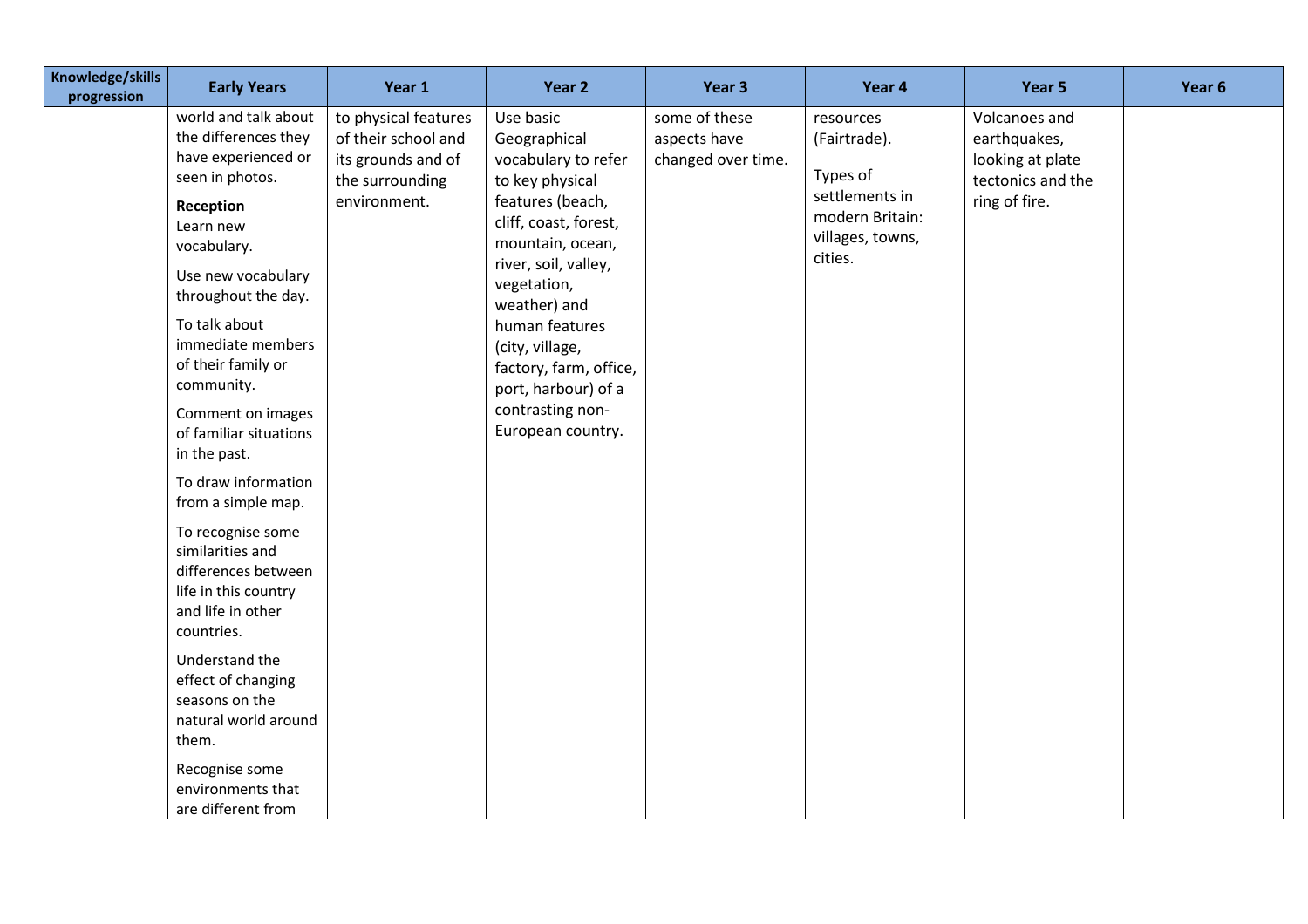| Knowledge/skills<br>progression | <b>Early Years</b>                                                                                                                                                                                                                                                                                                                           | Year 1                                                                                               | Year 2                                                                                                                                                                                                                                                                                                                     | Year 3                                              | Year 4                                                                                                    | Year 5                                                                                  | Year 6 |
|---------------------------------|----------------------------------------------------------------------------------------------------------------------------------------------------------------------------------------------------------------------------------------------------------------------------------------------------------------------------------------------|------------------------------------------------------------------------------------------------------|----------------------------------------------------------------------------------------------------------------------------------------------------------------------------------------------------------------------------------------------------------------------------------------------------------------------------|-----------------------------------------------------|-----------------------------------------------------------------------------------------------------------|-----------------------------------------------------------------------------------------|--------|
|                                 | world and talk about<br>the differences they<br>have experienced or<br>seen in photos.<br>Reception<br>Learn new<br>vocabulary.<br>Use new vocabulary<br>throughout the day.<br>To talk about<br>immediate members<br>of their family or<br>community.<br>Comment on images<br>of familiar situations<br>in the past.<br>To draw information | to physical features<br>of their school and<br>its grounds and of<br>the surrounding<br>environment. | Use basic<br>Geographical<br>vocabulary to refer<br>to key physical<br>features (beach,<br>cliff, coast, forest,<br>mountain, ocean,<br>river, soil, valley,<br>vegetation,<br>weather) and<br>human features<br>(city, village,<br>factory, farm, office,<br>port, harbour) of a<br>contrasting non-<br>European country. | some of these<br>aspects have<br>changed over time. | resources<br>(Fairtrade).<br>Types of<br>settlements in<br>modern Britain:<br>villages, towns,<br>cities. | Volcanoes and<br>earthquakes,<br>looking at plate<br>tectonics and the<br>ring of fire. |        |
|                                 | from a simple map.<br>To recognise some<br>similarities and<br>differences between<br>life in this country<br>and life in other<br>countries.<br>Understand the<br>effect of changing<br>seasons on the<br>natural world around<br>them.<br>Recognise some                                                                                   |                                                                                                      |                                                                                                                                                                                                                                                                                                                            |                                                     |                                                                                                           |                                                                                         |        |
|                                 | environments that<br>are different from                                                                                                                                                                                                                                                                                                      |                                                                                                      |                                                                                                                                                                                                                                                                                                                            |                                                     |                                                                                                           |                                                                                         |        |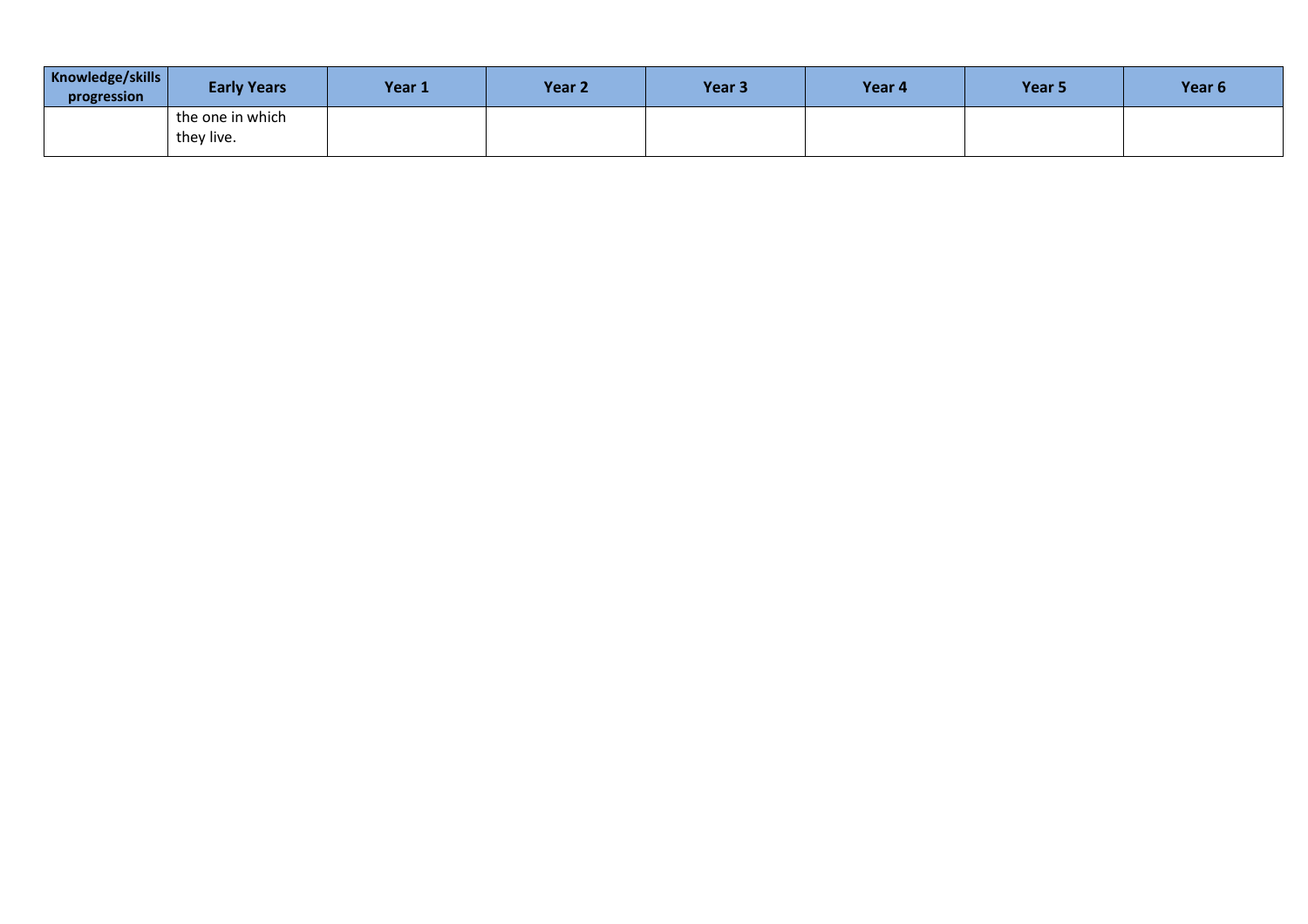| Year 6 | Year 5 | Year 4 | Year <sub>3</sub> | Year <sub>2</sub> | Year 1 | <b>Early Years</b> | Knowledge/skills<br>progression |
|--------|--------|--------|-------------------|-------------------|--------|--------------------|---------------------------------|
|        |        |        |                   |                   |        | the one in which   |                                 |
|        |        |        |                   |                   |        | they live.         |                                 |
|        |        |        |                   |                   |        |                    |                                 |